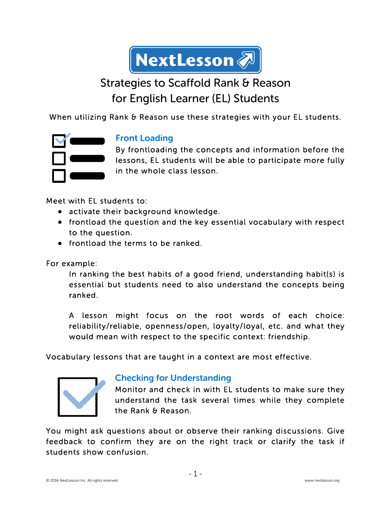

# Strategies to Scaffold Rank & Reason for English Learner (EL) Students

When utilizing Rank & Reason use these strategies with your EL students.



#### Front Loading

By frontloading the concepts and information before the lessons, EL students will be able to participate more fully in the whole class lesson.

Meet with EL students to:

- activate their background knowledge.
- frontload the question and the key essential vocabulary with respect to the question.
- frontload the terms to be ranked.

For example:

In ranking the best habits of a good friend, understanding habit(s) is essential but students need to also understand the concepts being ranked.

A lesson might focus on the root words of each choice: reliability/reliable, openness/open, loyalty/loyal, etc. and what they would mean with respect to the specific context: friendship.

Vocabulary lessons that are taught in a context are most effective.



#### Checking for Understanding

Monitor and check in with EL students to make sure they understand the task several times while they complete the Rank & Reason.

You might ask questions about or observe their ranking discussions. Give feedback to confirm they are on the right track or clarify the task if students show confusion.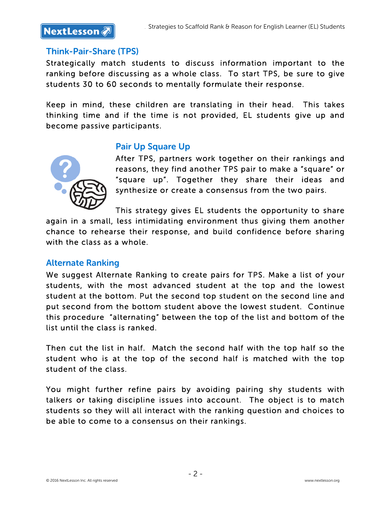

#### Think-Pair-Share (TPS)

Strategically match students to discuss information important to the ranking before discussing as a whole class. To start TPS, be sure to give students 30 to 60 seconds to mentally formulate their response.

Keep in mind, these children are translating in their head. This takes thinking time and if the time is not provided, EL students give up and become passive participants.

#### Pair Up Square Up



After TPS, partners work together on their rankings and reasons, they find another TPS pair to make a "square" or "square up". Together they share their ideas and synthesize or create a consensus from the two pairs.

This strategy gives EL students the opportunity to share again in a small, less intimidating environment thus giving them another chance to rehearse their response, and build confidence before sharing with the class as a whole.

#### Alternate Ranking

We suggest Alternate Ranking to create pairs for TPS. Make a list of your students, with the most advanced student at the top and the lowest student at the bottom. Put the second top student on the second line and put second from the bottom student above the lowest student. Continue this procedure "alternating" between the top of the list and bottom of the list until the class is ranked.

Then cut the list in half. Match the second half with the top half so the student who is at the top of the second half is matched with the top student of the class.

You might further refine pairs by avoiding pairing shy students with talkers or taking discipline issues into account. The object is to match students so they will all interact with the ranking question and choices to be able to come to a consensus on their rankings.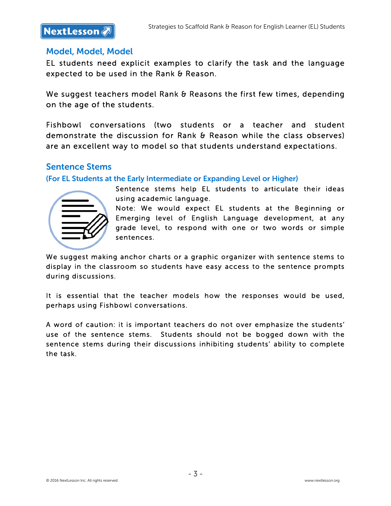### **NextLesson**

#### Model, Model, Model

EL students need explicit examples to clarify the task and the language expected to be used in the Rank & Reason.

We suggest teachers model Rank & Reasons the first few times, depending on the age of the students.

Fishbowl conversations (two students or a teacher and student demonstrate the discussion for Rank & Reason while the class observes) are an excellent way to model so that students understand expectations.

#### Sentence Stems

(For EL Students at the Early Intermediate or Expanding Level or Higher)



Sentence stems help EL students to articulate their ideas using academic language.

Note: We would expect EL students at the Beginning or Emerging level of English Language development, at any grade level, to respond with one or two words or simple sentences.

We suggest making anchor charts or a graphic organizer with sentence stems to display in the classroom so students have easy access to the sentence prompts during discussions.

It is essential that the teacher models how the responses would be used, perhaps using Fishbowl conversations.

A word of caution: it is important teachers do not over emphasize the students' use of the sentence stems. Students should not be bogged down with the sentence stems during their discussions inhibiting students' ability to complete the task.